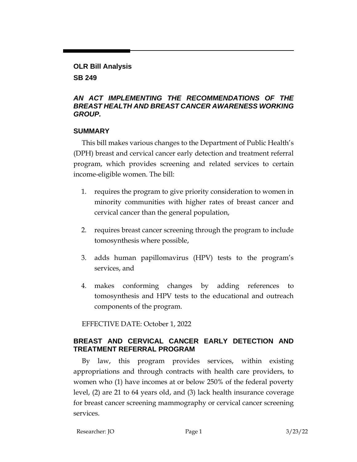#### **OLR Bill Analysis**

**SB 249**

### *AN ACT IMPLEMENTING THE RECOMMENDATIONS OF THE BREAST HEALTH AND BREAST CANCER AWARENESS WORKING GROUP.*

### **SUMMARY**

This bill makes various changes to the Department of Public Health's (DPH) breast and cervical cancer early detection and treatment referral program, which provides screening and related services to certain income-eligible women. The bill:

- 1. requires the program to give priority consideration to women in minority communities with higher rates of breast cancer and cervical cancer than the general population,
- 2. requires breast cancer screening through the program to include tomosynthesis where possible,
- 3. adds human papillomavirus (HPV) tests to the program's services, and
- 4. makes conforming changes by adding references to tomosynthesis and HPV tests to the educational and outreach components of the program.

EFFECTIVE DATE: October 1, 2022

# **BREAST AND CERVICAL CANCER EARLY DETECTION AND TREATMENT REFERRAL PROGRAM**

By law, this program provides services, within existing appropriations and through contracts with health care providers, to women who (1) have incomes at or below 250% of the federal poverty level, (2) are 21 to 64 years old, and (3) lack health insurance coverage for breast cancer screening mammography or cervical cancer screening services.